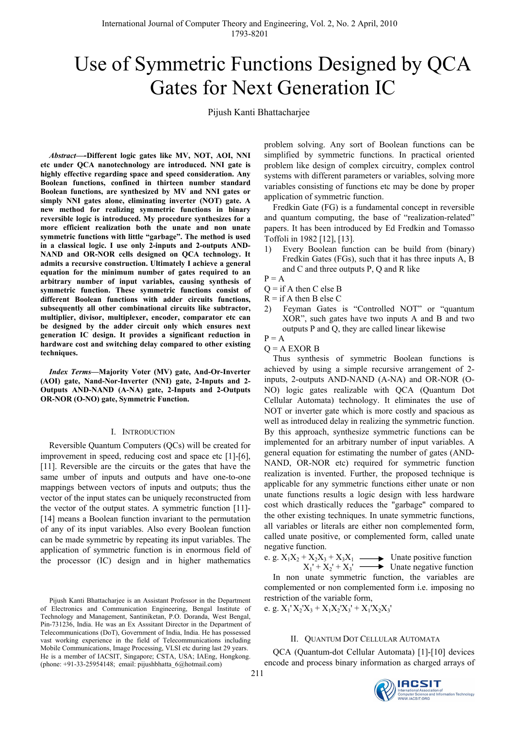# Use of Symmetric Functions Designed by QCA Gates for Next Generation IC

Pijush Kanti Bhattacharjee

*Abstract—-***Different logic gates like MV, NOT, AOI, NNI etc under QCA nanotechnology are introduced. NNI gate is highly effective regarding space and speed consideration. Any Boolean functions, confined in thirteen number standard Boolean functions, are synthesized by MV and NNI gates or simply NNI gates alone, eliminating inverter (NOT) gate. A new method for realizing symmetric functions in binary reversible logic is introduced. My procedure synthesizes for a more efficient realization both the unate and non unate symmetric functions with little "garbage". The method is used in a classical logic. I use only 2-inputs and 2-outputs AND-NAND and OR-NOR cells designed on QCA technology. It admits a recursive construction. Ultimately I achieve a general equation for the minimum number of gates required to an arbitrary number of input variables, causing synthesis of symmetric function. These symmetric functions consist of different Boolean functions with adder circuits functions, subsequently all other combinational circuits like subtractor, multiplier, divisor, multiplexer, encoder, comparator etc can be designed by the adder circuit only which ensures next generation IC design. It provides a significant reduction in hardware cost and switching delay compared to other existing techniques.** 

*Index Terms***—Majority Voter (MV) gate, And-Or-Inverter (AOI) gate, Nand-Nor-Inverter (NNI) gate, 2-Inputs and 2- Outputs AND-NAND (A-NA) gate, 2-Inputs and 2-Outputs OR-NOR (O-NO) gate, Symmetric Function.** 

## I. INTRODUCTION

Reversible Quantum Computers (QCs) will be created for improvement in speed, reducing cost and space etc [1]-[6], [11]. Reversible are the circuits or the gates that have the same umber of inputs and outputs and have one-to-one mappings between vectors of inputs and outputs; thus the vector of the input states can be uniquely reconstructed from the vector of the output states. A symmetric function [11]- [14] means a Boolean function invariant to the permutation of any of its input variables. Also every Boolean function can be made symmetric by repeating its input variables. The application of symmetric function is in enormous field of the processor (IC) design and in higher mathematics problem solving. Any sort of Boolean functions can be simplified by symmetric functions. In practical oriented problem like design of complex circuitry, complex control systems with different parameters or variables, solving more variables consisting of functions etc may be done by proper application of symmetric function.

Fredkin Gate (FG) is a fundamental concept in reversible and quantum computing, the base of "realization-related" papers. It has been introduced by Ed Fredkin and Tomasso Toffoli in 1982 [12], [13].

1) Every Boolean function can be build from (binary) Fredkin Gates (FGs), such that it has three inputs A, B and C and three outputs P, Q and R like

 $P = A$ 

- $Q =$  if A then C else B
- $R = i f A$  then B else C
- 2) Feyman Gates is "Controlled NOT" or "quantum XOR", such gates have two inputs A and B and two outputs P and Q, they are called linear likewise
- $P = A$
- $Q = A EXOR B$

Thus synthesis of symmetric Boolean functions is achieved by using a simple recursive arrangement of 2 inputs, 2-outputs AND-NAND (A-NA) and OR-NOR (O-NO) logic gates realizable with QCA (Quantum Dot Cellular Automata) technology. It eliminates the use of NOT or inverter gate which is more costly and spacious as well as introduced delay in realizing the symmetric function. By this approach, synthesize symmetric functions can be implemented for an arbitrary number of input variables. A general equation for estimating the number of gates (AND-NAND, OR-NOR etc) required for symmetric function realization is invented. Further, the proposed technique is applicable for any symmetric functions either unate or non unate functions results a logic design with less hardware cost which drastically reduces the "garbage" compared to the other existing techniques. In unate symmetric functions, all variables or literals are either non complemented form, called unate positive, or complemented form, called unate negative function.

e. g. 
$$
X_1X_2 + X_2X_3 + X_3X_1
$$
   
  $X_1' + X_2' + X_3'$    
 **Under positive function**   
 **Under negative function**

In non unate symmetric function, the variables are complemented or non complemented form i.e. imposing no restriction of the variable form,

e. g.  $X_1' X_2' X_3 + X_1 X_2' X_3' + X_1' X_2 X_3'$ 

# II. QUANTUM DOT CELLULAR AUTOMATA

QCA (Quantum-dot Cellular Automata) [1]-[10] devices encode and process binary information as charged arrays of

Pijush Kanti Bhattacharjee is an Assistant Professor in the Department of Electronics and Communication Engineering, Bengal Institute of Technology and Management, Santiniketan, P.O. Doranda, West Bengal, Pin-731236, India. He was an Ex Asssitant Director in the Department of Telecommunications (DoT), Government of India, India. He has possessed vast working experience in the field of Telecommunications including Mobile Communications, Image Processing, VLSI etc during last 29 years. He is a member of IACSIT, Singapore; CSTA, USA; IAEng, Hongkong. (phone: +91-33-25954148; email: pijushbhatta\_6@hotmail.com)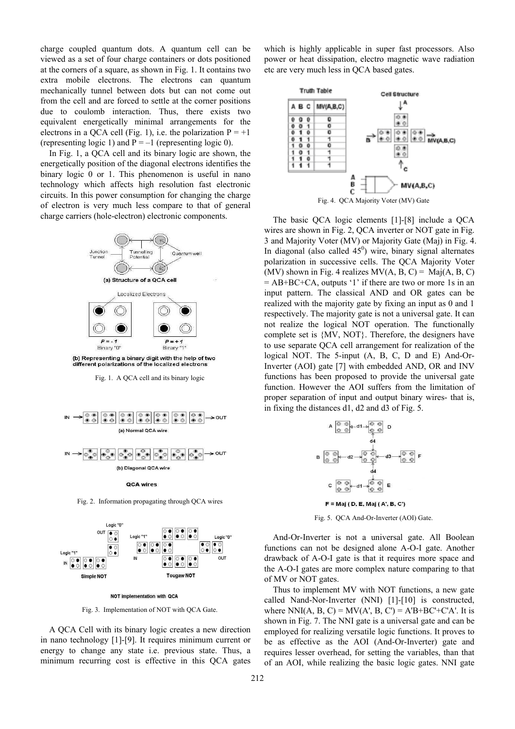charge coupled quantum dots. A quantum cell can be viewed as a set of four charge containers or dots positioned at the corners of a square, as shown in Fig. 1. It contains two extra mobile electrons. The electrons can quantum mechanically tunnel between dots but can not come out from the cell and are forced to settle at the corner positions due to coulomb interaction. Thus, there exists two equivalent energetically minimal arrangements for the electrons in a QCA cell (Fig. 1), i.e. the polarization  $P = +1$ (representing logic 1) and  $P = -1$  (representing logic 0).

In Fig. 1, a QCA cell and its binary logic are shown, the energetically position of the diagonal electrons identifies the binary logic 0 or 1. This phenomenon is useful in nano technology which affects high resolution fast electronic circuits. In this power consumption for changing the charge of electron is very much less compare to that of general charge carriers (hole-electron) electronic components.



Fig. 1. A QCA cell and its binary logic





NOT implementation with QCA

Fig. 3. Implementation of NOT with QCA Gate.

A QCA Cell with its binary logic creates a new direction in nano technology [1]-[9]. It requires minimum current or energy to change any state i.e. previous state. Thus, a minimum recurring cost is effective in this QCA gates which is highly applicable in super fast processors. Also power or heat dissipation, electro magnetic wave radiation etc are very much less in QCA based gates.



The basic QCA logic elements [1]-[8] include a QCA wires are shown in Fig. 2, QCA inverter or NOT gate in Fig. 3 and Majority Voter (MV) or Majority Gate (Maj) in Fig. 4. In diagonal (also called  $45^0$ ) wire, binary signal alternates polarization in successive cells. The QCA Majority Voter (MV) shown in Fig. 4 realizes  $MV(A, B, C) = Maj(A, B, C)$ = AB+BC+CA, outputs '1' if there are two or more 1s in an input pattern. The classical AND and OR gates can be realized with the majority gate by fixing an input as 0 and 1 respectively. The majority gate is not a universal gate. It can not realize the logical NOT operation. The functionally complete set is {MV, NOT}. Therefore, the designers have to use separate QCA cell arrangement for realization of the logical NOT. The 5-input (A, B, C, D and E) And-Or-Inverter (AOI) gate [7] with embedded AND, OR and INV functions has been proposed to provide the universal gate function. However the AOI suffers from the limitation of proper separation of input and output binary wires- that is, in fixing the distances d1, d2 and d3 of Fig. 5.



Fig. 5. QCA And-Or-Inverter (AOI) Gate.

And-Or-Inverter is not a universal gate. All Boolean functions can not be designed alone A-O-I gate. Another drawback of A-O-I gate is that it requires more space and the A-O-I gates are more complex nature comparing to that of MV or NOT gates.

Thus to implement MV with NOT functions, a new gate called Nand-Nor-Inverter (NNI) [1]-[10] is constructed, where NNI(A, B, C) = MV(A', B, C') = A'B+BC'+C'A'. It is shown in Fig. 7. The NNI gate is a universal gate and can be employed for realizing versatile logic functions. It proves to be as effective as the AOI (And-Or-Inverter) gate and requires lesser overhead, for setting the variables, than that of an AOI, while realizing the basic logic gates. NNI gate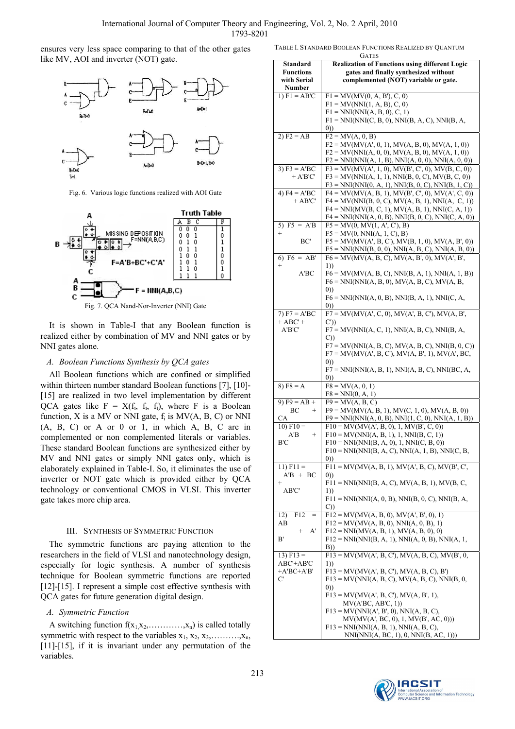ensures very less space comparing to that of the other gates like MV, AOI and inverter (NOT) gate.



Fig. 6. Various logic functions realized with AOI Gate



It is shown in Table-I that any Boolean function is realized either by combination of MV and NNI gates or by NNI gates alone.

# *A. Boolean Functions Synthesis by QCA gates*

All Boolean functions which are confined or simplified within thirteen number standard Boolean functions [7], [10]-[15] are realized in two level implementation by different QCA gates like  $F = X(f_i, f_i, f_i)$ , where F is a Boolean function, X is a MV or NNI gate,  $f_i$  is  $MV(A, B, C)$  or NNI (A, B, C) or A or 0 or 1, in which A, B, C are in complemented or non complemented literals or variables. These standard Boolean functions are synthesized either by MV and NNI gates or simply NNI gates only, which is elaborately explained in Table-I. So, it eliminates the use of inverter or NOT gate which is provided either by QCA technology or conventional CMOS in VLSI. This inverter gate takes more chip area.

# III. SYNTHESIS OF SYMMETRIC FUNCTION

The symmetric functions are paying attention to the researchers in the field of VLSI and nanotechnology design, especially for logic synthesis. A number of synthesis technique for Boolean symmetric functions are reported [12]-[15]. I represent a simple cost effective synthesis with QCA gates for future generation digital design.

# *A. Symmetric Function*

A switching function  $f(x_1, x_2, \ldots, x_n)$  is called totally symmetric with respect to the variables  $x_1, x_2, x_3, \ldots, x_n$ , [11]-[15], if it is invariant under any permutation of the variables.

| <b>GATES</b>                                                      |                                                                                 |  |  |  |  |  |  |  |
|-------------------------------------------------------------------|---------------------------------------------------------------------------------|--|--|--|--|--|--|--|
| <b>Realization of Functions using different Logic</b><br>Standard |                                                                                 |  |  |  |  |  |  |  |
| <b>Functions</b>                                                  | gates and finally synthesized without                                           |  |  |  |  |  |  |  |
| with Serial                                                       | complemented (NOT) variable or gate.                                            |  |  |  |  |  |  |  |
| Number                                                            |                                                                                 |  |  |  |  |  |  |  |
| 1) $F1 = AB'C$                                                    | $F1 = MV(MV(0, A, B'), C, 0)$                                                   |  |  |  |  |  |  |  |
|                                                                   | $F1 = MV(NNI(1, A, B), C, 0)$                                                   |  |  |  |  |  |  |  |
|                                                                   | $F1 = NNI(NNI(A, B, 0), C, 1)$                                                  |  |  |  |  |  |  |  |
|                                                                   | $F1 = NNI(NNI(C, B, 0), NNI(B, A, C), NNI(B, A,$                                |  |  |  |  |  |  |  |
|                                                                   | (0)                                                                             |  |  |  |  |  |  |  |
| 2) $F2 = AB$                                                      | $F2 = MV(A, 0, B)$                                                              |  |  |  |  |  |  |  |
|                                                                   | $F2 = MV(MV(A', 0, 1), MV(A, B, 0), MV(A, 1, 0))$                               |  |  |  |  |  |  |  |
|                                                                   | $F2 = MV(NNI(A, 0, 0), MV(A, B, 0), MV(A, 1, 0))$                               |  |  |  |  |  |  |  |
|                                                                   | $F2 = NNI(NNI(A, 1, B), NNI(A, 0, 0), NNI(A, 0, 0))$                            |  |  |  |  |  |  |  |
| 3) $F3 = \overline{A'BC}$                                         | $F3 = MV(MV(A', 1, 0), MV(B', C', 0), MV(B, C, 0))$                             |  |  |  |  |  |  |  |
| $+$ A'B'C'                                                        | $F3 = MV(NNI(A, 1, 1), NNI(B, 0, C), MV(B, C, 0))$                              |  |  |  |  |  |  |  |
|                                                                   | $F3 = NNI(NNI(0, A, 1), NNI(B, 0, C), NNI(B, 1, C))$                            |  |  |  |  |  |  |  |
| 4) $F4 = A'BC$                                                    | $F4 = MV(MV(A, B, 1), MV(B', C', 0), MV(A', C, 0))$                             |  |  |  |  |  |  |  |
| $+$ AB'C'                                                         | $F4 = MV(NNI(B, 0, C), MV(A, B, 1), NNI(A, C, 1))$                              |  |  |  |  |  |  |  |
|                                                                   | $F4 = NNI(MV(B, C, 1), MV(A, B, 1), NNI(C, A, 1))$                              |  |  |  |  |  |  |  |
|                                                                   | $F4 = NNI(NNI(A, 0, B), NNI(B, 0, C), NNI(C, A, 0))$                            |  |  |  |  |  |  |  |
| 5) $F5 = \overline{A'B}$                                          | $F5 = MV(0, MV(1, A', C'), B)$                                                  |  |  |  |  |  |  |  |
| $^{+}$                                                            | $F5 = MV(0, NNI(A, 1, C), B)$                                                   |  |  |  |  |  |  |  |
| BC'                                                               | $F5 = MV(MV(A', B, C'), MV(B, 1, 0), MV(A, B', 0))$                             |  |  |  |  |  |  |  |
|                                                                   | $F5 = NNI(NNI(B, 0, 0), NNI(A, B, C), NNI(A, B, 0))$                            |  |  |  |  |  |  |  |
| 6) $\overline{F6} = \overline{AB'}$                               | $F6 = MV(MV(A, B, C), MV(A, B', 0), MV(A', B',$                                 |  |  |  |  |  |  |  |
| $^{+}$                                                            | 1)                                                                              |  |  |  |  |  |  |  |
| A'BC                                                              | $F6 = MV(MV(A, B, C), NNI(B, A, 1), NNI(A, 1, B))$                              |  |  |  |  |  |  |  |
|                                                                   | $F6 = NNI(NNI(A, B, 0), MV(A, B, C), MV(A, B,$                                  |  |  |  |  |  |  |  |
|                                                                   | (0)                                                                             |  |  |  |  |  |  |  |
|                                                                   | $F6 = NNI(NNI(A, 0, B), NNI(B, A, 1), NNI(C, A,$                                |  |  |  |  |  |  |  |
|                                                                   | (0))                                                                            |  |  |  |  |  |  |  |
| 7) $F7 = A'BC$                                                    | $F7 = MV(MV(A', C, 0), MV(A', B, C'), MV(A, B',$                                |  |  |  |  |  |  |  |
| $+ ABC' +$                                                        | C')                                                                             |  |  |  |  |  |  |  |
| A'B'C'                                                            | $F7 = MV(NNI(A, C, 1), NNI(A, B, C), NNI(B, A,$                                 |  |  |  |  |  |  |  |
|                                                                   | C))                                                                             |  |  |  |  |  |  |  |
|                                                                   | $F7 = MV(NNI(A, B, C), MV(A, B, C), NNI(B, 0, C))$                              |  |  |  |  |  |  |  |
|                                                                   | $F7 = MV(MV(A', B, C'), MV(A, B', 1), MV(A', BC,$                               |  |  |  |  |  |  |  |
|                                                                   | (0)                                                                             |  |  |  |  |  |  |  |
|                                                                   | $F7 = NNI(NNI(A, B, 1), NNI(A, B, C), NNI(BC, A,$                               |  |  |  |  |  |  |  |
|                                                                   | (0)                                                                             |  |  |  |  |  |  |  |
| 8) $F8 = A$                                                       | $F8 = MV(A, 0, 1)$                                                              |  |  |  |  |  |  |  |
|                                                                   | $F8 = NNI(0, A, 1)$                                                             |  |  |  |  |  |  |  |
| 9) $F9 = AB +$                                                    | $F9 = MV(A, B, C)$                                                              |  |  |  |  |  |  |  |
| ВC<br>$^{+}$                                                      | $F9 = MV(MV(A, B, 1), MV(C, 1, 0), MV(A, B, 0))$                                |  |  |  |  |  |  |  |
| СA                                                                | $F9 = NNI(NNI(A, 0, B), NNI(1, C, 0), NNI(A, 1, B))$                            |  |  |  |  |  |  |  |
| $10)$ F10 =                                                       | $F10 = MV(MV(A', B, 0), 1, MV(B', C, 0))$                                       |  |  |  |  |  |  |  |
| A'B<br>$\qquad \qquad +$                                          | $F10 = MV(NNI(A, B, 1), 1, NNI(B, C, 1))$                                       |  |  |  |  |  |  |  |
| BС                                                                | $F10 = NNI(NNI(B, A, 0), 1, NNI(C, B, 0))$                                      |  |  |  |  |  |  |  |
|                                                                   | $F10 = NNI(NNI(B, A, C), NNI(A, 1, B), NNIC, B,$                                |  |  |  |  |  |  |  |
|                                                                   | (0))                                                                            |  |  |  |  |  |  |  |
| $11)$ F11 =                                                       | $F11 = MV(MV(A, B, 1), MV(A', B, C), MV(B', C',$                                |  |  |  |  |  |  |  |
| $A'B + BC$                                                        | (0))                                                                            |  |  |  |  |  |  |  |
| $^{+}$                                                            | $F11 = NNI(NNI(B, A, C), MV(A, B, 1), MV(B, C,$                                 |  |  |  |  |  |  |  |
| AB'C'                                                             | 1)                                                                              |  |  |  |  |  |  |  |
|                                                                   | $F11 = NNI(NNI(A, 0, B), NNI(B, 0, C), NNI(B, A,$                               |  |  |  |  |  |  |  |
|                                                                   | C))                                                                             |  |  |  |  |  |  |  |
| 12)<br>F12<br>$=$                                                 | $F12 = MV(MV(A, B, 0), MV(A', B', 0), 1)$                                       |  |  |  |  |  |  |  |
| AB                                                                | $F12 = MV(MV(A, B, 0), NNI(A, 0, B), 1)$                                        |  |  |  |  |  |  |  |
| A'<br>$^{+}$                                                      | $F12 = NNI(MV(A, B, 1), MV(A, B, 0), 0)$                                        |  |  |  |  |  |  |  |
| B'                                                                | $F12 = NNI(NNI(B, A, 1), NNI(A, 0, B), NNI(A, 1,$                               |  |  |  |  |  |  |  |
|                                                                   | B))                                                                             |  |  |  |  |  |  |  |
| $13)$ F13 =                                                       | $F13 = MV(MV(A', B, C'), MV(A, B, C), MV(B', 0,$                                |  |  |  |  |  |  |  |
| ABC'+AB'C                                                         | 1)                                                                              |  |  |  |  |  |  |  |
| $+A'BC+A'B'$                                                      | $F13 = MV(MV(A', B, C'), MV(A, B, C), B')$                                      |  |  |  |  |  |  |  |
| C                                                                 | $F13 = MV(NNI(A, B, C), MV(A, B, C), NNI(B, 0,$                                 |  |  |  |  |  |  |  |
|                                                                   | (0))                                                                            |  |  |  |  |  |  |  |
|                                                                   | $F13 = MV(MV(A', B, C'), MV(A, B', 1),$                                         |  |  |  |  |  |  |  |
|                                                                   | MV(A'BC, AB'C, 1))                                                              |  |  |  |  |  |  |  |
|                                                                   | $F13 = MV(NNI(A', B', 0), NNI(A, B, C)),$                                       |  |  |  |  |  |  |  |
|                                                                   | MV(MV(A', BC, 0), 1, MV(B', AC, 0)))<br>$F13 = NNI(NNI(A, B, 1), NNI(A, B, C),$ |  |  |  |  |  |  |  |
|                                                                   | NNI(NNI(A, BC, 1), 0, NNI(B, AC, 1)))                                           |  |  |  |  |  |  |  |
|                                                                   |                                                                                 |  |  |  |  |  |  |  |

TABLE I. STANDARD BOOLEAN FUNCTIONS REALIZED BY QUANTUM

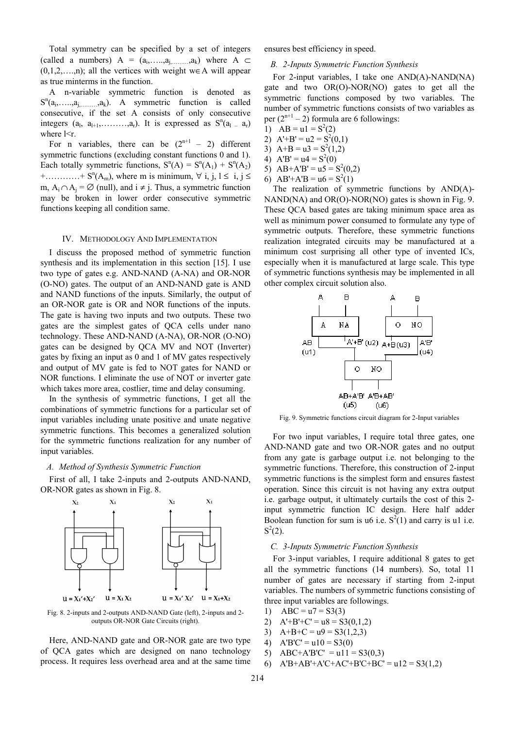Total symmetry can be specified by a set of integers (called a numbers)  $A = (a_1, \ldots, a_1, \ldots, a_k)$  where  $A \subset$  $(0,1,2,\ldots,n)$ ; all the vertices with weight w∈A will appear as true minterms in the function.

A n-variable symmetric function is denoted as  $S^n(a_1, \ldots, a_j, \ldots, a_k)$ . A symmetric function is called consecutive, if the set A consists of only consecutive integers  $(a_1, a_{l+1}, \ldots, a_r)$ . It is expressed as  $S^n(a_{l} - a_r)$ where  $\leq r$ .

For n variables, there can be  $(2^{n+1} - 2)$  different symmetric functions (excluding constant functions 0 and 1). Each totally symmetric functions,  $S^n(A) = S^n(A_1) + S^n(A_2)$ +............+  $S^{n}(A_{m})$ , where m is minimum,  $\forall$  i, j,  $1 \le i, j \le n$ m,  $A_i \cap A_j = \emptyset$  (null), and  $i \neq j$ . Thus, a symmetric function may be broken in lower order consecutive symmetric functions keeping all condition same.

#### IV. METHODOLOGY AND IMPLEMENTATION

I discuss the proposed method of symmetric function synthesis and its implementation in this section [15]. I use two type of gates e.g. AND-NAND (A-NA) and OR-NOR (O-NO) gates. The output of an AND-NAND gate is AND and NAND functions of the inputs. Similarly, the output of an OR-NOR gate is OR and NOR functions of the inputs. The gate is having two inputs and two outputs. These two gates are the simplest gates of QCA cells under nano technology. These AND-NAND (A-NA), OR-NOR (O-NO) gates can be designed by QCA MV and NOT (Inverter) gates by fixing an input as 0 and 1 of MV gates respectively and output of MV gate is fed to NOT gates for NAND or NOR functions. I eliminate the use of NOT or inverter gate which takes more area, costlier, time and delay consuming.

In the synthesis of symmetric functions, I get all the combinations of symmetric functions for a particular set of input variables including unate positive and unate negative symmetric functions. This becomes a generalized solution for the symmetric functions realization for any number of input variables.

#### *A. Method of Synthesis Symmetric Function*

First of all, I take 2-inputs and 2-outputs AND-NAND, OR-NOR gates as shown in Fig. 8.



Fig. 8. 2-inputs and 2-outputs AND-NAND Gate (left), 2-inputs and 2 outputs OR-NOR Gate Circuits (right).

Here, AND-NAND gate and OR-NOR gate are two type of QCA gates which are designed on nano technology process. It requires less overhead area and at the same time ensures best efficiency in speed.

## *B. 2-Inputs Symmetric Function Synthesis*

For 2-input variables, I take one AND(A)-NAND(NA) gate and two OR(O)-NOR(NO) gates to get all the symmetric functions composed by two variables. The number of symmetric functions consists of two variables as per  $(2^{n+1} - 2)$  formula are 6 followings:

- 1)  $AB = u1 = S^2(2)$
- 2)  $A'+B' = u2 = S^2(0,1)$
- 3)  $A+B = u3 = S^2(1,2)$
- 4)  $A'B' = u4 = S^2(0)$
- 5)  $AB+AB' = u5 = S^2(0,2)$
- 6)  $AB'+A'B = u6 = S^2(1)$

The realization of symmetric functions by AND(A)- NAND(NA) and OR(O)-NOR(NO) gates is shown in Fig. 9. These QCA based gates are taking minimum space area as well as minimum power consumed to formulate any type of symmetric outputs. Therefore, these symmetric functions realization integrated circuits may be manufactured at a minimum cost surprising all other type of invented ICs, especially when it is manufactured at large scale. This type of symmetric functions synthesis may be implemented in all other complex circuit solution also.



Fig. 9. Symmetric functions circuit diagram for 2-Input variables

For two input variables, I require total three gates, one AND-NAND gate and two OR-NOR gates and no output from any gate is garbage output i.e. not belonging to the symmetric functions. Therefore, this construction of 2-input symmetric functions is the simplest form and ensures fastest operation. Since this circuit is not having any extra output i.e. garbage output, it ultimately curtails the cost of this 2 input symmetric function IC design. Here half adder Boolean function for sum is u6 i.e.  $S^2(1)$  and carry is u1 i.e.  $S^2(2)$ .

# *C. 3-Inputs Symmetric Function Synthesis*

For 3-input variables, I require additional 8 gates to get all the symmetric functions (14 numbers). So, total 11 number of gates are necessary if starting from 2-input variables. The numbers of symmetric functions consisting of three input variables are followings.

- 1)  $ABC = u7 = S3(3)$
- 2)  $A'+B'+C' = u8 = S3(0,1,2)$
- 3)  $A+B+C = u9 = S3(1,2,3)$
- 4)  $A'B'C' = u10 = S3(0)$
- 5)  $ABC+A'B'C' = u11 = S3(0,3)$
- 6)  $A'B + AB' + A'C + AC' + B'C + BC' = u12 = S3(1,2)$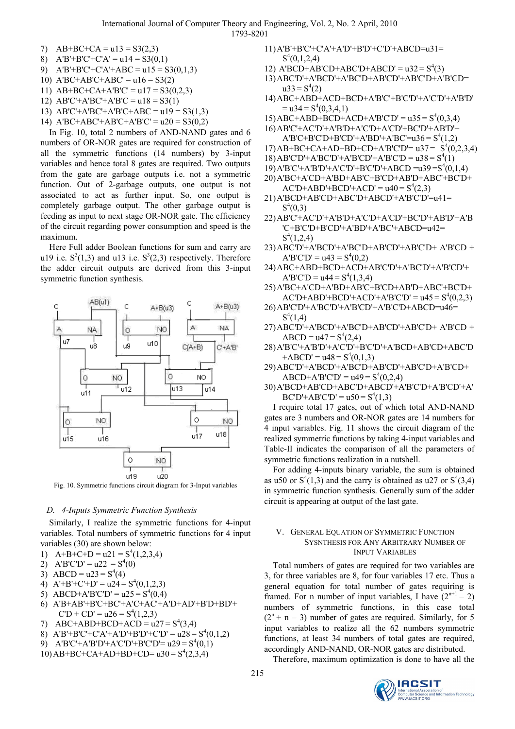- 7)  $AB+BC+CA = u13 = S3(2,3)$
- 8)  $A'B' + B'C' + C'A' = u14 = S3(0,1)$
- 9)  $A'B' + B'C' + C'A' + ABC = u15 = S3(0,1,3)$
- 10)  $A'BC+AB'C+ABC' = u16 = S3(2)$
- 11)  $AB+BC+CA+A'B'C' = u17 = S3(0,2,3)$
- 12)  $AB'C' + A'B'C' + A'B'C = u18 = S3(1)$
- 13) AB'C'+A'BC'+A'B'C+ABC =  $u19 = S3(1,3)$
- 14) A'BC+ABC'+AB'C+A'B'C' =  $u20 = S3(0,2)$

In Fig. 10, total 2 numbers of AND-NAND gates and 6 numbers of OR-NOR gates are required for construction of all the symmetric functions (14 numbers) by 3-input variables and hence total 8 gates are required. Two outputs from the gate are garbage outputs i.e. not a symmetric function. Out of 2-garbage outputs, one output is not associated to act as further input. So, one output is completely garbage output. The other garbage output is feeding as input to next stage OR-NOR gate. The efficiency of the circuit regarding power consumption and speed is the maximum.

Here Full adder Boolean functions for sum and carry are u19 i.e.  $S^3(1,3)$  and u13 i.e.  $S^3(2,3)$  respectively. Therefore the adder circuit outputs are derived from this 3-input symmetric function synthesis.



Fig. 10. Symmetric functions circuit diagram for 3-Input variables

## *D. 4-Inputs Symmetric Function Synthesis*

Similarly, I realize the symmetric functions for 4-input variables. Total numbers of symmetric functions for 4 input variables (30) are shown below:

- 1)  $A+B+C+D = u^2 = S^4(1,2,3,4)$
- 2)  $A'B'C'D' = u22 = S<sup>4</sup>(0)$
- 3) ABCD =  $u23 = S<sup>4</sup>(4)$
- 4)  $A'+B'+C'+D' = u24 = S^4(0,1,2,3)$
- 5) ABCD+A'B'C'D' =  $u25 = S<sup>4</sup>(0,4)$
- 6) A'B+AB'+B'C+BC'+A'C+AC'+A'D+AD'+B'D+BD'+  $CD + CD' = u26 = S<sup>4</sup>(1,2,3)$
- 7) ABC+ABD+BCD+ACD =  $u27 = S<sup>4</sup>(3,4)$
- 8)  $A'B' + B'C' + C'A' + A'D' + B'D' + C'D' = u28 = S<sup>4</sup>(0,1,2)$
- 9)  $A'B'C' + A'B'D' + A'C'D' + B'C'D' = u29 = S<sup>4</sup>(0,1)$
- $10$ )AB+BC+CA+AD+BD+CD= u30 =  $S<sup>4</sup>(2,3,4)$
- 11)A'B'+B'C'+C'A'+A'D'+B'D'+C'D'+ABCD=u31=  $S^4(0,1,2,4)$
- 12)  $A'BCD+ABCD+ABCD+ABCD'=u32 = S<sup>4</sup>(3)$
- 13)ABC'D'+A'BCD'+A'BC'D+AB'CD'+AB'C'D+A'B'CD=  $u33 = S<sup>4</sup>(2)$
- 14)ABC+ABD+ACD+BCD+A'B'C'+B'C'D'+A'C'D'+A'B'D'  $=$  u34 = S<sup>4</sup>(0,3,4,1)
- $15)$ ABC+ABD+BCD+ACD+A'B'C'D' = u35 =  $S<sup>4</sup>(0,3,4)$
- 16)AB'C'+AC'D'+A'B'D+A'C'D+A'CD'+BC'D'+AB'D'+  $A'B'C+B'C'D+B'CD'+A'BD'+A'B'C'=u36 = S<sup>4</sup>(1,2)$
- 17)AB+BC+CA+AD+BD+CD+A'B'C'D'=  $u37 = S<sup>4</sup>(0,2,3,4)$
- $18$ )AB'C'D'+A'BC'D'+A'B'CD'+A'B'C'D = u38 = S<sup>4</sup>(1)
- 19) A'B'C'+A'B'D'+A'C'D'+B'C'D'+ABCD =u39=S<sup>4</sup>(0,1,4)
- 20)A'BC+A'CD+A'BD+AB'C+B'CD+AB'D+ABC'+BC'D+
- $AC'D + ABD' + BCD' + ACD' = u40 = S<sup>4</sup>(2,3)$
- 21)A'BCD+AB'CD+ABC'D+ABCD'+A'B'C'D'=u41=  $S^4(0,3)$
- 22)AB'C'+AC'D'+A'B'D+A'C'D+A'CD'+BC'D'+AB'D'+A'B 'C+B'C'D+B'CD'+A'BD'+A'BC'+ABCD=u42=  $S^4(1,2,4)$
- 23)ABC'D'+A'BCD'+A'BC'D+AB'CD'+AB'C'D+ A'B'CD +  $A'B'C'D' = u43 = S<sup>4</sup>(0,2)$
- 24)ABC+ABD+BCD+ACD+AB'C'D'+A'BC'D'+A'B'CD'+  $A'B'C'D = u44 = S<sup>4</sup>(1,3,4)$
- 25)A'BC+A'CD+A'BD+AB'C+B'CD+AB'D+ABC'+BC'D+  $AC'D + ABD' + BCD' + ACD' + A'B'C'D' = u45 = S<sup>4</sup>(0,2,3)$
- 26)AB'C'D'+A'BC'D'+A'B'CD'+A'B'C'D+ABCD=u46=  $S^4(1,4)$
- 27)ABC'D'+A'BCD'+A'BC'D+AB'CD'+AB'C'D+ A'B'CD + ABCD =  $u47 = S<sup>4</sup>(2,4)$
- 28)A'B'C'+A'B'D'+A'C'D'+B'C'D'+A'BCD+AB'CD+ABC'D  $+ABCD' = u48 = S<sup>4</sup>(0,1,3)$
- 29)ABC'D'+A'BCD'+A'BC'D+AB'CD'+AB'C'D+A'B'CD+  $ABCD+A'B'C'D' = u49 = S<sup>4</sup>(0,2,4)$
- 30)A'BCD+AB'CD+ABC'D+ABCD'+A'B'C'D+A'B'CD'+A'  $BC'D' + AB'C'D' = u50 = S<sup>4</sup>(1,3)$

I require total 17 gates, out of which total AND-NAND gates are 3 numbers and OR-NOR gates are 14 numbers for 4 input variables. Fig. 11 shows the circuit diagram of the realized symmetric functions by taking 4-input variables and Table-II indicates the comparison of all the parameters of symmetric functions realization in a nutshell.

For adding 4-inputs binary variable, the sum is obtained as u50 or  $S^4(1,3)$  and the carry is obtained as u27 or  $S^4(3,4)$ in symmetric function synthesis. Generally sum of the adder circuit is appearing at output of the last gate.

# V. GENERAL EQUATION OF SYMMETRIC FUNCTION SYSNTHESIS FOR ANY ARBITRARY NUMBER OF INPUT VARIABLES

Total numbers of gates are required for two variables are 3, for three variables are 8, for four variables 17 etc. Thus a general equation for total number of gates requiring is framed. For n number of input variables, I have  $(2^{n+1} – 2)$ numbers of symmetric functions, in this case total  $(2^{n} + n - 3)$  number of gates are required. Similarly, for 5 input variables to realize all the 62 numbers symmetric functions, at least 34 numbers of total gates are required, accordingly AND-NAND, OR-NOR gates are distributed.

Therefore, maximum optimization is done to have all the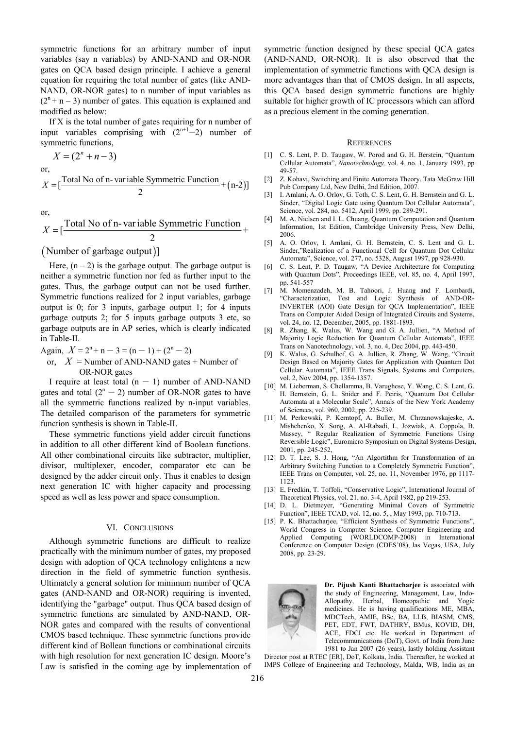symmetric functions for an arbitrary number of input variables (say n variables) by AND-NAND and OR-NOR gates on QCA based design principle. I achieve a general equation for requiring the total number of gates (like AND-NAND, OR-NOR gates) to n number of input variables as  $(2^{n} + n - 3)$  number of gates. This equation is explained and modified as below:

If X is the total number of gates requiring for n number of input variables comprising with  $(2^{n+1}-2)$  number of symmetric functions,

$$
X=(2^n+n-3)
$$

or,

$$
X = \left[\frac{\text{Total No of n-}variable Symmetric Function}}{2} + (n-2)\right]
$$

or,

$$
X = \left[\frac{\text{Total No of n-} \text{variable Symmetric Function}}{2} + \right]
$$

(Number of garbage output)]

Here,  $(n - 2)$  is the garbage output. The garbage output is neither a symmetric function nor fed as further input to the gates. Thus, the garbage output can not be used further. Symmetric functions realized for 2 input variables, garbage output is 0; for 3 inputs, garbage output 1; for 4 inputs garbage outputs 2; for 5 inputs garbage outputs 3 etc, so garbage outputs are in AP series, which is clearly indicated in Table-II.

Again,  $X = 2^{n} + n - 3 = (n - 1) + (2^{n} - 2)$ 

or,  $X =$ Number of AND-NAND gates  $+$  Number of OR-NOR gates

I require at least total  $(n - 1)$  number of AND-NAND gates and total  $(2^{n} - 2)$  number of OR-NOR gates to have all the symmetric functions realized by n-input variables. The detailed comparison of the parameters for symmetric function synthesis is shown in Table-II.

These symmetric functions yield adder circuit functions in addition to all other different kind of Boolean functions. All other combinational circuits like subtractor, multiplier, divisor, multiplexer, encoder, comparator etc can be designed by the adder circuit only. Thus it enables to design next generation IC with higher capacity and processing speed as well as less power and space consumption.

## VI. CONCLUSIONS

Although symmetric functions are difficult to realize practically with the minimum number of gates, my proposed design with adoption of QCA technology enlightens a new direction in the field of symmetric function synthesis. Ultimately a general solution for minimum number of QCA gates (AND-NAND and OR-NOR) requiring is invented, identifying the "garbage" output. Thus QCA based design of symmetric functions are simulated by AND-NAND, OR-NOR gates and compared with the results of conventional CMOS based technique. These symmetric functions provide different kind of Bollean functions or combinational circuits with high resolution for next generation IC design. Moore's Law is satisfied in the coming age by implementation of symmetric function designed by these special QCA gates (AND-NAND, OR-NOR). It is also observed that the implementation of symmetric functions with QCA design is more advantages than that of CMOS design. In all aspects, this QCA based design symmetric functions are highly suitable for higher growth of IC processors which can afford as a precious element in the coming generation.

#### **REFERENCES**

- [1] C. S. Lent, P. D. Taugaw, W. Porod and G. H. Berstein, "Quantum Cellular Automata", *Nanotechnology*, vol. 4, no. 1, January 1993, pp 49-57.
- [2] Z. Kohavi, Switching and Finite Automata Theory, Tata McGraw Hill Pub Company Ltd, New Delhi, 2nd Edition, 2007.
- [3] I. Amlani, A. O. Orlov, G. Toth, C. S. Lent, G. H. Bernstein and G. L. Sinder, "Digital Logic Gate using Quantum Dot Cellular Automata", Science, vol. 284, no. 5412, April 1999, pp. 289-291.
- [4] M. A. Nielsen and I. L. Chuang, Quantum Computation and Quantum Information, 1st Edition, Cambridge University Press, New Delhi, 2006.
- [5] A. O. Orlov, I. Amlani, G. H. Bernstein, C. S. Lent and G. L. Sinder,"Realization of a Functional Cell for Quantum Dot Cellular Automata", Science, vol. 277, no. 5328, August 1997, pp 928-930.
- [6] C. S. Lent, P. D. Taugaw, "A Device Architecture for Computing with Quantum Dots", Proceedings IEEE, vol. 85, no. 4, April 1997, pp. 541-557
- [7] M. Momenzadeh, M. B. Tahoori, J. Huang and F. Lombardi, "Characterization, Test and Logic Synthesis of AND-OR-INVERTER (AOI) Gate Design for QCA Implementation", IEEE Trans on Computer Aided Design of Integrated Circuits and Systems, vol. 24, no. 12, December, 2005, pp. 1881-1893.
- [8] R. Zhang, K. Walus, W. Wang and G. A. Jullien, "A Method of Majority Logic Reduction for Quantum Cellular Automata", IEEE Trans on Nanotechnology, vol. 3, no. 4, Dec 2004, pp. 443-450.
- [9] K. Walus, G. Schulhof, G. A. Jullien, R. Zhang, W. Wang, "Circuit Design Based on Majority Gates for Application with Quantum Dot Cellular Automata", IEEE Trans Signals, Systems and Computers, vol. 2, Nov 2004, pp. 1354-1357.
- [10] M. Lieberman, S. Chellamma, B. Varughese, Y. Wang, C. S. Lent, G. H. Bernstein, G. L. Snider and F. Peiris, "Quantum Dot Cellular Automata at a Molecular Scale", Annals of the New York Academy of Sciences, vol. 960, 2002, pp. 225-239.
- [11] M. Perkowski, P. Kerntopf, A. Buller, M. Chrzanowskajeske, A. Mishchenko, X. Song, A. Al-Rabadi, L. Jozwiak, A. Coppola, B. Massey, " Regular Realization of Symmetric Functions Using Reversible Logic", Euromicro Symposium on Digital Systems Design, 2001, pp. 245-252,
- [12] D. T. Lee, S. J. Hong, "An Algortithm for Transformation of an Arbitrary Switching Function to a Completely Symmetric Function", IEEE Trans on Computer, vol. 25, no. 11, November 1976, pp 1117- 1123.
- [13] E. Fredkin, T. Toffoli, "Conservative Logic", International Journal of Theoretical Physics, vol. 21, no. 3-4, April 1982, pp 219-253.
- [14] D. L. Dietmeyer, "Generating Minimal Covers of Symmetric Function", IEEE TCAD, vol. 12, no. 5, , May 1993, pp. 710-713.
- [15] P. K. Bhattacharjee, "Efficient Synthesis of Symmetric Functions" World Congress in Computer Science, Computer Engineering and Applied Computing (WORLDCOMP-2008) in International Conference on Computer Design (CDES'08), las Vegas, USA, July 2008, pp. 23-29.



**Dr. Pijush Kanti Bhattacharjee** is associated with the study of Engineering, Management, Law, Indo-Allopathy, Herbal, Homeopathic and Yogic medicines. He is having qualifications ME, MBA, MDCTech, AMIE, BSc, BA, LLB, BIASM, CMS, PET, EDT, FWT, DATHRY, BMus, KOVID, DH, ACE, FDCI etc. He worked in Department of Telecommunications (DoT), Govt. of India from June 1981 to Jan 2007 (26 years), lastly holding Assistant

Director post at RTEC [ER], DoT, Kolkata, India. Thereafter, he worked at IMPS College of Engineering and Technology, Malda, WB, India as an